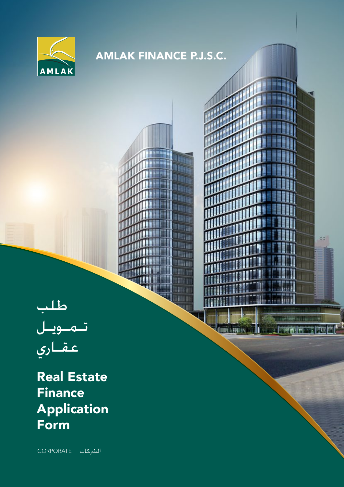

## **AMLAK FINANCE P.J.S.C.**

酣

m Ш dά

<u>ra</u>

liter

**CONTRACTOR BUT IN THE R** 



**Real Estate Finance Application Form** 

الشركات CORPORATE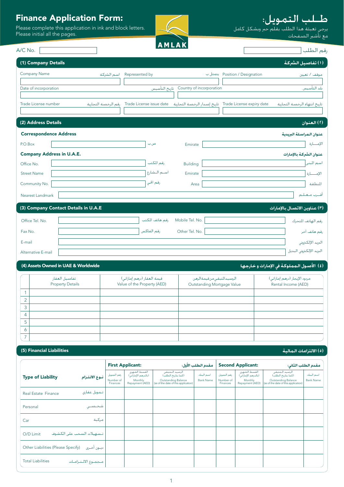## **Finance Application Form:**

Please complete this application in ink and block letters.<br>Please initial all the pages.



# 

مع تأشير الصفحات<br>مع تأشير الصفحات

رقم الطلب

.<br>(٥) الالتزامات المالية

 $A/C$  No.

| (1) Company Details                  |                                                                                                            |                                        | (١) تفاصيل الشركة                               |
|--------------------------------------|------------------------------------------------------------------------------------------------------------|----------------------------------------|-------------------------------------------------|
| Company Name                         | Represented by<br>اسم الشركة                                                                               |                                        | Position / Designation بتمثل ب<br>موقف / تعيين  |
| Date of incorporation                |                                                                                                            | Country of incorporation تاريخ التأسيس | بلد التأسيس                                     |
|                                      |                                                                                                            |                                        |                                                 |
| Trade License number                 | Trade License expiry date   ناريخ إصدار الرخصة التجارية    Trade License issue date<br>رفم الرخصة التجارية |                                        | تاريخ انتهاء الرخصة التجارية                    |
|                                      |                                                                                                            |                                        |                                                 |
| (2) Address Details                  |                                                                                                            |                                        | (٢) العنوان                                     |
| <b>Correspondence Address</b>        |                                                                                                            |                                        | عنوان المراسلة البريدية                         |
| P.O.Box                              | ص.ب                                                                                                        | Emirate                                | الإمسارة                                        |
| <b>Company Address in U.A.E.</b>     |                                                                                                            |                                        | عنوان الشركة بالإمارات                          |
| Office No.                           | رفم المكتب                                                                                                 | <b>Building</b>                        | اسم المبنى                                      |
| <b>Street Name</b>                   | اسم الشارع                                                                                                 | Emirate                                | الإمسسارة                                       |
| Community No.                        | رقم الحي                                                                                                   | Area                                   | المنطقة                                         |
| Nearest Landmark                     |                                                                                                            |                                        | أقسرب متعتلتم                                   |
| (3) Company Contact Details in U.A.E |                                                                                                            |                                        | (٣) عناوين الاتصال بالإمارات                    |
| Office Tel. No.                      | رفم هانف المكتب                                                                                            | Mobile Tel. No.                        | رفم الهانف المتحرك                              |
| Fax No.                              | رقم الفاكس                                                                                                 | Other Tel. No.                         | رقم هاتف آخر                                    |
| E-mail                               |                                                                                                            |                                        | البريد الإلكتروني                               |
| Alternative E-mail                   |                                                                                                            |                                        | البريد الإلكتروني البديل                        |
| (4) Assets Owned in UAE & Worldwide  |                                                                                                            |                                        | (٤) الأصبول الـمملـوكـة في الإمارات و خـارجـهـا |

|        | $\frac{1}{2}$ , $\frac{1}{2}$ , $\frac{1}{2}$ , $\frac{1}{2}$ , $\frac{1}{2}$ , $\frac{1}{2}$ , $\frac{1}{2}$ , $\frac{1}{2}$ , $\frac{1}{2}$ , $\frac{1}{2}$ , $\frac{1}{2}$ , $\frac{1}{2}$ , $\frac{1}{2}$ |                                                           |                                                           |                                                     |
|--------|---------------------------------------------------------------------------------------------------------------------------------------------------------------------------------------------------------------|-----------------------------------------------------------|-----------------------------------------------------------|-----------------------------------------------------|
|        | تفاصيل العقار<br><b>Property Details</b>                                                                                                                                                                      | قيمة العقار (درهم إماراتي)<br>Value of the Property (AED) | الرصيدالمتبقي من فيمة الرهن<br>Outstanding Mortgage Value | مردود الإيجار (درهم إماراتي)<br>Rental Income (AED) |
|        |                                                                                                                                                                                                               |                                                           |                                                           |                                                     |
| $\sim$ |                                                                                                                                                                                                               |                                                           |                                                           |                                                     |
| 3      |                                                                                                                                                                                                               |                                                           |                                                           |                                                     |
| 4      |                                                                                                                                                                                                               |                                                           |                                                           |                                                     |
| 5      |                                                                                                                                                                                                               |                                                           |                                                           |                                                     |
| Ô      |                                                                                                                                                                                                               |                                                           |                                                           |                                                     |
| -      |                                                                                                                                                                                                               |                                                           |                                                           |                                                     |

#### (5) Financial Liabilities

|                                                   |                                      | <b>First Applicant:</b>                                           |                                                                                                         | مقدم الطلب الأول:             |                                      | <b>Second Applicant:</b>                                          |                                                                                                          | مقدم الطلب الثانى:            |
|---------------------------------------------------|--------------------------------------|-------------------------------------------------------------------|---------------------------------------------------------------------------------------------------------|-------------------------------|--------------------------------------|-------------------------------------------------------------------|----------------------------------------------------------------------------------------------------------|-------------------------------|
| <b>Type of Liability</b><br>نسوع الالتنزام        | رفم التمويل<br>Number of<br>Finances | الفسط الشهرى<br>(بالدرهم الإماراني)<br>Monthly<br>Repayment (AED) | الرصيد الــمتبقـي<br>(كـما بناريخ الطلب)<br>Outstanding Balance<br>(as of the date of this application) | اسم البنك<br><b>Bank Name</b> | رفم التمويل<br>Number of<br>Finances | الفسط الشهرى<br>(بالدرهم الإماراني)<br>Monthly<br>Repayment (AED) | الرصيد الــمتبقـي<br>(كـما بتاريخ الـطلب)<br>Outstanding Balance<br>(as of the date of this application) | اسم البنك<br><b>Bank Name</b> |
| تـموبل عقارى<br>Real Estate Finance               |                                      |                                                                   |                                                                                                         |                               |                                      |                                                                   |                                                                                                          |                               |
| Personal<br>شخصب                                  |                                      |                                                                   |                                                                                                         |                               |                                      |                                                                   |                                                                                                          |                               |
| مركبة<br>Car                                      |                                      |                                                                   |                                                                                                         |                               |                                      |                                                                   |                                                                                                          |                               |
| تستهيلات السحب على الكشوف<br>O/D Limit            |                                      |                                                                   |                                                                                                         |                               |                                      |                                                                   |                                                                                                          |                               |
| Other Liabilities (Please Specify)<br>ديسون أخسري |                                      |                                                                   |                                                                                                         |                               |                                      |                                                                   |                                                                                                          |                               |
| <b>Total Liabilities</b><br>مجموع الالتنزاميات    |                                      |                                                                   |                                                                                                         |                               |                                      |                                                                   |                                                                                                          |                               |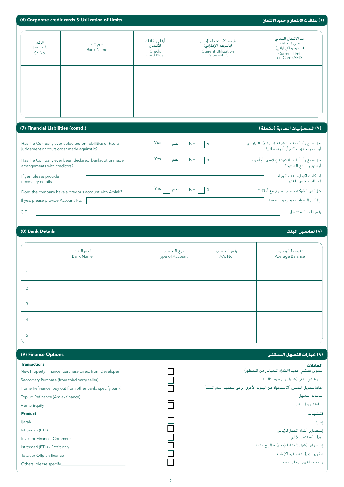|                                                  | (6) Corporate credit cards & Utilization of Limits                                                            |                                                 |                                                                                           | (1) بطاقات الائتمان و حدود الائتمان                                                                                          |
|--------------------------------------------------|---------------------------------------------------------------------------------------------------------------|-------------------------------------------------|-------------------------------------------------------------------------------------------|------------------------------------------------------------------------------------------------------------------------------|
| الرقم<br>التسلسان<br>Sr. No.                     | اسم البنك<br><b>Bank Name</b>                                                                                 | أرقام بطاقات<br>الأئتمان<br>Credit<br>Card Nos. | قيمة الاستخدام الحالى<br>(بالدرهم الإماراتي)<br><b>Current Utilization</b><br>Value (AED) | حد الائتمان الحالي<br>على البطافة<br>(بالدرهم الإماراتي)<br><b>Current Limit</b><br>on Card (AED)                            |
|                                                  |                                                                                                               |                                                 |                                                                                           |                                                                                                                              |
| (7) Financial Liabilities (contd.)               |                                                                                                               |                                                 |                                                                                           | (٧) المسؤليات المادية (تكملة)                                                                                                |
| judgement or court order made against it?        | Has the Company ever defaulted on liabilities or had a<br>Has the Company ever been declared bankrupt or made | Yes<br>نعم<br>Yes<br>نعم                        | No.<br>$\mathsf{x}$<br>No<br>$\boldsymbol{\mathsf{X}}$                                    | هل سبق وأن أخفقت الشركة (بالوفاء) بالتزاماتها<br>أو صدر بحقها حكم أو أمر قضائي؟<br>هل سبق وأن أعلنت الشركـة إفلاسـها أو أجرت |
| arrangements with creditors?                     |                                                                                                               |                                                 |                                                                                           | أية ترتيبات مع الدائنين؟                                                                                                     |
| If yes, please provide<br>necessary details.     |                                                                                                               |                                                 |                                                                                           | إذا كانت الإجابة بنعم الرجاء<br>.<br>إعطاء ملخص للترتيبات.                                                                   |
|                                                  | Does the company have a previous account with Amlak?                                                          | Yes<br>نعم                                      | No<br>$\mathsf{\underline{\mathsf{x}}}$                                                   | هل لدى الشركـة حساب سابق مع أملاك؟                                                                                           |
| If yes, please provide Account No.               |                                                                                                               |                                                 |                                                                                           | إذا كان اللجواب نعم، رقم اللحساب                                                                                             |
| <b>CIF</b>                                       |                                                                                                               |                                                 |                                                                                           | رقم ملف اللمتعامل                                                                                                            |
| (8) Bank Details                                 |                                                                                                               |                                                 |                                                                                           | (٨) تفاصيل البنك                                                                                                             |
|                                                  |                                                                                                               |                                                 |                                                                                           |                                                                                                                              |
|                                                  | اسم البنك<br><b>Bank Name</b>                                                                                 | نوع الحساب<br>Type of Account                   | رقم الحساب<br>A/c No.                                                                     | منوسط الرصيد<br>Average Balance                                                                                              |
| 1                                                |                                                                                                               |                                                 |                                                                                           |                                                                                                                              |
| $\overline{2}$                                   |                                                                                                               |                                                 |                                                                                           |                                                                                                                              |
| 3                                                |                                                                                                               |                                                 |                                                                                           |                                                                                                                              |
|                                                  |                                                                                                               |                                                 |                                                                                           |                                                                                                                              |
| 4                                                |                                                                                                               |                                                 |                                                                                           |                                                                                                                              |
| 5                                                |                                                                                                               |                                                 |                                                                                           |                                                                                                                              |
|                                                  |                                                                                                               |                                                 |                                                                                           |                                                                                                                              |
| (9) Finance Options                              |                                                                                                               |                                                 |                                                                                           | (٩) خيارات التمويل السكني                                                                                                    |
|                                                  |                                                                                                               |                                                 |                                                                                           | المعاملات                                                                                                                    |
| <b>Transactions</b>                              | New Property Finance (purchase direct from Developer)                                                         |                                                 |                                                                                           | تـمويل سكنى جديد (الشراء الـمباشر من الـمطور)                                                                                |
| Secondary Purchase (from third party seller)     |                                                                                                               |                                                 |                                                                                           | المعشتري الثاني (شراء من طرف ثالث)                                                                                           |
|                                                  | Home Refinance (buy out from other bank, specify bank)                                                        |                                                 |                                                                                           | إعادة تـمويل الـمنزل (الاستحواذ من البنوك الأخرى، يرجى تـحديد اسم البنك)                                                     |
| Top up Refinance (Amlak finance)                 |                                                                                                               |                                                 |                                                                                           | تجديد التمويل                                                                                                                |
| Home Equity                                      |                                                                                                               |                                                 |                                                                                           | إعادة تلمويل عقار                                                                                                            |
| <b>Product</b>                                   |                                                                                                               |                                                 |                                                                                           | المنتجات                                                                                                                     |
| ljarah                                           |                                                                                                               |                                                 |                                                                                           | إجارة                                                                                                                        |
| Istithmari (BTL)<br>Investor Finance- Commercial |                                                                                                               |                                                 |                                                                                           | إستثماري (شراء العقار للإيجار)<br>تمويل المستثمر- جَاري                                                                      |
| Istithmari (BTL) - Profit only                   |                                                                                                               |                                                 |                                                                                           | إستثماري (شراء العقار للإيجار) – الربح فقط                                                                                   |
| Tatweer Offplan finance                          |                                                                                                               |                                                 |                                                                                           | تطوير – يمول عقار فيد الإنشاء<br>منتجات أخرى الرجاء التحديد                                                                  |

| إعادة تــمـويل الــمـنزل (الاسـتحـواذ مـن البـنـوك الأخـرى، يرجـي تــحـديـد اسـم الـبـنك) |  |
|-------------------------------------------------------------------------------------------|--|
| تنجديد التمويل                                                                            |  |

## إعادة تلمويل عقار

## المنتجات

| ستثماري (شراء العقار للإيجار) |  |
|-------------------------------|--|
|-------------------------------|--|

| إستثماري (شراء العقار للإيجار) – الربح فقط |  |  |
|--------------------------------------------|--|--|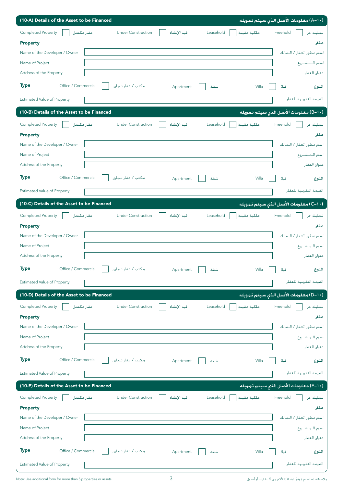| (10-A) Details of the Asset to be Financed                                                                      | (A–1۰) معلومات الأصل الذى سيتم تمويله  |
|-----------------------------------------------------------------------------------------------------------------|----------------------------------------|
| Completed Property<br>عقار مكتمل<br><b>Under Construction</b><br>ملكية مقيدة<br>قيد الإنشاء<br>Leasehold        | Freehold<br>تىمليك حر                  |
| <b>Property</b>                                                                                                 | عقار                                   |
| Name of the Developer / Owner                                                                                   | اسم مطور العقار / الـمالك              |
| Name of Project                                                                                                 | اسم التمتشيروع                         |
| Address of the Property                                                                                         | عنوان العقار                           |
| <b>Type</b><br>Office / Commercial<br>مكتب / عقار تجارى<br>Villa<br>Apartment<br>شقة                            | فيلا<br>النوع                          |
| <b>Estimated Value of Property</b>                                                                              | القيمة التقريبية للعقار                |
| (10-B) Details of the Asset to be Financed                                                                      | (−1−)) معلومات الأصل الذي سيتم تمويله  |
| <b>Completed Property</b><br><b>Under Construction</b><br>Leasehold<br>قيد الإنشاء                              | Freehold<br>تىمليك حر                  |
| عقار مكتمل<br>ملكية مقيدة<br><b>Property</b>                                                                    | عقار                                   |
| Name of the Developer / Owner                                                                                   | اسم مطور العقار / الـمالك              |
| Name of Project                                                                                                 | اسم التمتشيروع                         |
| Address of the Property                                                                                         | عنوان العقار                           |
| <b>Type</b><br>Office / Commercial<br>مكتب / عقار تجارى<br>Villa<br>شقة<br>Apartment                            | فىلا                                   |
|                                                                                                                 | النوع                                  |
| <b>Estimated Value of Property</b>                                                                              | الفيمة التقريبية للعقار                |
| (10-C) Details of the Asset to be Financed                                                                      | (C−۱۰) معلومات الأصل الذي سيتم تمويله. |
| <b>Completed Property</b><br><b>Under Construction</b><br>فيد الإنشاء<br>Leasehold<br>ملكية مقيدة<br>عقار مكتمل | Freehold<br>تىمليك حر                  |
| <b>Property</b>                                                                                                 | عقار                                   |
| Name of the Developer / Owner                                                                                   | اسم مطور العقار / الـمالك              |
| Name of Project                                                                                                 | اسم المشروع                            |
| Address of the Property                                                                                         | عنوان العقار                           |
| <b>Type</b><br>Office / Commercial<br>مكنت / عقار تجاري<br>Villa<br>Apartment<br>شقة                            | فيلا<br>النوع                          |
| <b>Estimated Value of Property</b>                                                                              | الفيمة التفريبية للعفار                |
| (10-D) Details of the Asset to be Financed                                                                      | (D−1۰) معلومات الأصل الذي سيتم تمويله  |
| Completed Property<br>عقار مكتمل<br><b>Under Construction</b><br>قيد الإنشاء<br>Leasehold<br>ملكية مقيدة        | Freehold<br>تىمليك حر                  |
|                                                                                                                 | عقار                                   |
| <b>Property</b><br>Name of the Developer / Owner                                                                | اسم مطور العقار / المالك               |
| Name of Project                                                                                                 | اسم المشروع                            |
| Address of the Property                                                                                         | عنوان العقار                           |
| <b>Type</b><br>Office / Commercial<br>مكتب / عقار تجارى                                                         |                                        |
| Villa<br>Apartment<br>شقة                                                                                       | فيلا<br>النوع                          |
| <b>Estimated Value of Property</b>                                                                              | الفيمة التفريبية للعفار                |
| (10-E) Details of the Asset to be Financed                                                                      | (E−1۰) معلومات الأصل الذي سيتم تمويله  |
| <b>Completed Property</b><br>عقار مكتمل<br><b>Under Construction</b><br>Leasehold<br>ملكية مقيدة<br>فيد الإنشاء | تىمليك خر<br>Freehold                  |
| <b>Property</b>                                                                                                 | عقار                                   |
| Name of the Developer / Owner                                                                                   | اسم مطور العفار / الـمالك              |
| Name of Project                                                                                                 | اسم المشروع                            |
| Address of the Property                                                                                         | عنوان العقار                           |
| <b>Type</b><br>مكتب / عفار تجارى<br>Office / Commercial                                                         |                                        |
| Villa<br>Apartment<br>شقة                                                                                       | فيلا<br>النوع                          |
| <b>Estimated Value of Property</b>                                                                              | الفيمة التفريبية للعفار                |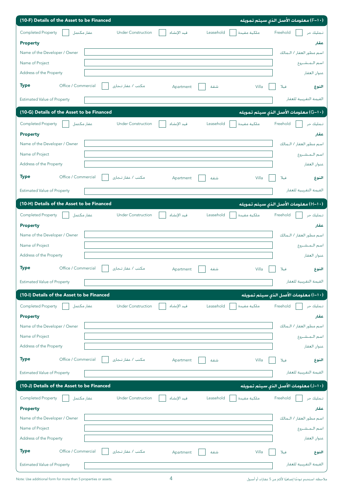| (10-F) Details of the Asset to be Financed                           |             |                          | (F–۱۰) معلومات الأصل الذى سيتم تمويله  |
|----------------------------------------------------------------------|-------------|--------------------------|----------------------------------------|
| Completed Property<br>عقار مكتمل<br><b>Under Construction</b>        | قيد الإنشاء | Leasehold<br>ملكية مقيدة | Freehold<br>تىمليك حر                  |
| <b>Property</b>                                                      |             |                          | عقار                                   |
| Name of the Developer / Owner                                        |             |                          | اسم مطور العقار / الـمالك              |
| Name of Project                                                      |             |                          | اسم التمتشروع                          |
| Address of the Property                                              |             |                          | عنوان العقار                           |
| <b>Type</b><br>Office / Commercial<br>مكتب / عقار تجارى              | Apartment   | شقة                      | Villa<br>فيلا<br>النوع                 |
| <b>Estimated Value of Property</b>                                   |             |                          | الفيمة التفريبية للعفار                |
| (10-G) Details of the Asset to be Financed                           |             |                          | (G-1۰) معلومات الأصل الذي سيتم تمويله  |
| <b>Completed Property</b><br>عفار مكتمل<br><b>Under Construction</b> | فيد الإنشاء | Leasehold<br>ملكية مقيدة | Freehold<br>تىملىك خر                  |
| <b>Property</b>                                                      |             |                          | عقار                                   |
| Name of the Developer / Owner                                        |             |                          | اسم مطور العقار / الـمالك              |
| Name of Project                                                      |             |                          | اسم المشروع                            |
| Address of the Property                                              |             |                          | عنوان العقار                           |
| Office / Commercial<br><b>Type</b><br>مكتب / عقار تجارى              | Apartment   | شقة                      | Villa<br>فيلا<br>النوع                 |
| <b>Estimated Value of Property</b>                                   |             |                          | الفيمة التفريبية للعفار                |
| (10-H) Details of the Asset to be Financed                           |             |                          | (−۱+)) معلومات الأصل الذي سيتم تمويله  |
| Completed Property<br><b>Under Construction</b><br>عقار مكتمل        | فيد الإنشاء | Leasehold<br>ملكية مقيدة | Freehold<br>تىمليك حر                  |
| <b>Property</b>                                                      |             |                          | عقار                                   |
| Name of the Developer / Owner                                        |             |                          | اسم مطور العقار / الـمالك              |
| Name of Project                                                      |             |                          | اسم المشروع                            |
| Address of the Property                                              |             |                          | عنوان العفار                           |
| <b>Type</b><br>Office / Commercial<br>مكتب / عقار تـجارى             | Apartment   | شقة                      | Villa<br>فىلا<br>النوع                 |
| <b>Estimated Value of Property</b>                                   |             |                          | الفيمة التفريبية للعفار                |
| (10-I) Details of the Asset to be Financed                           |             |                          | (١٠-١) معلومات الأصل الذي سيتم تمويله  |
| <b>Completed Property</b><br>عقار مكتمل<br><b>Under Construction</b> | فيد الإنشاء | Leasehold                | تىملىك خر<br>Freehold                  |
| <b>Property</b>                                                      |             | ملكية مقيدة              |                                        |
| Name of the Developer / Owner                                        |             |                          | عقار                                   |
|                                                                      |             |                          |                                        |
|                                                                      |             |                          | اسم مطور العقار / الـمالك              |
| Name of Project<br>Address of the Property                           |             |                          | اسم التمتشروع                          |
|                                                                      |             |                          | عنوان العقار                           |
| مكتب / عقار تجارى<br><b>Type</b><br>Office / Commercial              | Apartment   | شقة                      | Villa<br>فيلا<br>النوع                 |
| <b>Estimated Value of Property</b>                                   |             |                          | الفيمة التقريبية للعفار                |
| (10-J) Details of the Asset to be Financed                           |             |                          | (→ ا−ل) معلومات الأصل الذي سيتم تمويله |
| <b>Completed Property</b><br><b>Under Construction</b><br>عقار مكتمل | فيد الإنشاء | Leasehold<br>ملكية مقيدة | Freehold<br>تىمليك حر                  |
| <b>Property</b>                                                      |             |                          | عقار                                   |
| Name of the Developer / Owner                                        |             |                          | اسم مطور العقار / الـمالك              |
| Name of Project                                                      |             |                          | اسم التمتشيروع                         |
| Address of the Property                                              |             |                          | عنوان العقار                           |
| <b>Type</b><br>Office / Commercial<br>مكتب / عقار تجارى              | Apartment   | شقة                      | فىلا<br>Villa<br>النوع                 |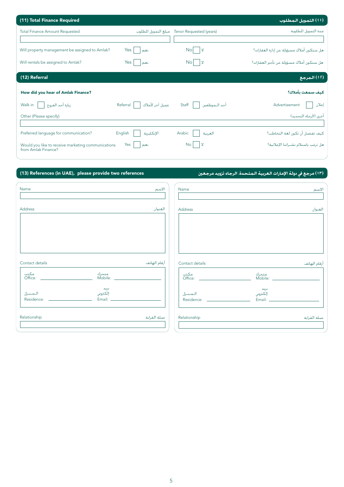| (11) Total Finance Required                                               |                             |                                              | (11) التهويل الـمطلوب                    |
|---------------------------------------------------------------------------|-----------------------------|----------------------------------------------|------------------------------------------|
| <b>Total Finance Amount Requested</b>                                     |                             | Tenor Requested (years) مبلغ التمويل المطلوب | مدة التمويل المطلوبة                     |
|                                                                           |                             |                                              |                                          |
| Will property management be assigned to Amlak?                            | Yes<br>نعم                  | No <sup>l</sup><br>١x                        | هل ستكون أملاك مسؤولة عن إدارة العقارات؟ |
| Will rentals be assigned to Amlak?                                        | Yes<br>نعم                  | Nol<br>$\vert x$                             | هل ستكون أملاك مسؤولة عن تأجير العقارات؟ |
| (12) Referral                                                             |                             |                                              | .<br>( 1 1 ) الـمرجـع                    |
| How did you hear of Amlak Finance?                                        |                             |                                              | كبف سمعت بأملاك؟                         |
| زيارة أحد الفروع<br>Walk in                                               | عميل آخر لأملاك<br>Referral | Staff<br>أحد التموظفين                       | Advertisement<br>إعلان                   |
| Other (Please specify)                                                    |                             |                                              | أخرى (الرجاء التحديد)                    |
|                                                                           |                             |                                              |                                          |
| Preferred language for communication?                                     | English<br>الإنكليزية       | Arabic<br>العربية                            | كيف تفضل أن تكون لغة التخاطب؟            |
| Would you like to receive marketing communications<br>from Amlak Finance? | Yes<br>نعم                  | <b>No</b><br>$\mathbf{\mathsf{x}}$           | هل ترغب باستلام نشــراتنا الإعلانية؟     |

#### (13) References (in UAE), please provide two references

### (١٣) مرجع في دولة الإمارات العربية الـمتحدة. الرجاء تزويد مرجعين

| Name                                                                 | الاسم        | Name                                                 |                            | لاسم        |
|----------------------------------------------------------------------|--------------|------------------------------------------------------|----------------------------|-------------|
| Address                                                              | العنوان      | Address                                              |                            | لعنوان      |
| Contact details<br>متحرك<br>Mobile: ______________                   | أرقام الهاتف | Contact details<br>مكتب<br>Office:    ______________ | متحرك<br>Mobile: _________ | رقام الهاتف |
| بريد<br>إلكتروني<br>المنزل<br>Residence: <u>____________________</u> |              | المنزل<br>Residence: ______________________          | بريد<br>إلكتروني           |             |
| Relationship                                                         | صلة القرابة  | Relationship                                         |                            | صلة القرابة |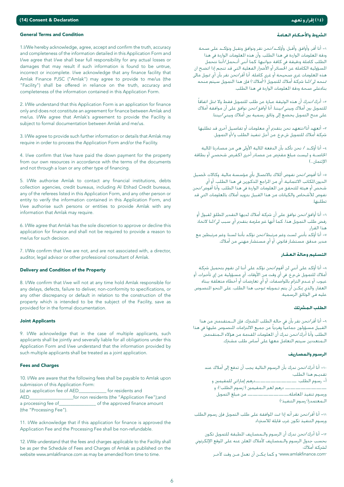#### General Terms and Condition

1.I/We hereby acknowledge, agree, accept and confirm the truth, accuracy and completeness of the information detailed in this Application Form and I/we agree that I/we shall bear full responsibility for any actual losses or damages that may result if such information is found to be untrue, incorrect or incomplete. I/we acknowledge that any finance facility that Amlak Finance PJSC ("Amlak") may agree to provide to me/us (the "Facility") shall be offered in reliance on the truth, accuracy and completeness of the information contained in this Application Form.

2. I/We understand that this Application Form is an application for finance only and does not constitute an agreement for finance between Amlak and me/us. I/We agree that Amlak's agreement to provide the Facility is subject to formal documentation between Amlak and me/us.

3. I/We agree to provide such further information or details that Amlak may require in order to process the Application Form and/or the Facility.

4. I/we confirm that I/we have paid the down payment for the property from our own resources in accordance with the terms of the documents and not through a loan or any other type of financing.

5. I/We authorise Amlak to contact any financial institutions, debts collection agencies, credit bureaus, including AI Etihad Credit bureaus, any of the referees listed in this Application Form, and any other person or entity to verify the information contained in this Application Form, and I/we authorise such persons or entities to provide Amlak with any information that Amlak may require.

6. I/We agree that Amlak has the sole discretion to approve or decline this application for finance and shall not be required to provide a reason to me/us for such decision.

7. I/We confirm that I/we are not, and are not associated with, a director, auditor, legal advisor or other professional consultant of Amlak.

#### Delivery and Condition of the Property

8. I/We confirm that I/we will not at any time hold AmIak responsible for any delays, defects, failure to deliver, non-conformity to specifications, or any other discrepancy or default in relation to the construction of the property which is intended to be the subject of the Facility, save as provided for in the formal documentation.

#### Joint Applicants

9. I/We acknowledge that in the case of multiple applicants, such applicants shall be jointly and severally liable for all obligations under this Application Form and I/we understand that the information provided by such multiple applicants shall be treated as a joint application.

#### Fees and Charges

10. I/We are aware that the following fees shall be payable to AmIak upon submission of this Application Form: (a) an application fee of AED\_\_\_\_\_\_\_\_\_\_\_\_ for residents and AED\_\_\_\_\_\_\_\_\_\_\_\_\_\_\_\_\_\_\_for non residents (the "Application Fee");and a processing fee of\_\_\_\_\_\_\_\_\_\_\_\_\_\_\_\_ of the approved finance amount (the "Processing Fee").

11. I/We acknowledge that if this application for finance is approved the Application Fee and the Processing Fee shall be non-refundable.

12. I/We understand that the fees and charges applicable to the Facility shall be as per the Schedule of Fees and Charges of AmIak as published on the website www.amIakfinance.com as may be amended from time to time.

#### الشروط والأحـكـام الـعـامـة

۱− أنا أقر، وأوافق، وأقبل، وأؤكـد/نحن نقر ونوافق ونقبل ونؤكـد على صحة ودقة اللعلومات الواردة في هذا الطلب، وأن هذه اللعلومات الواردة في هذا الطلب كـاملة ودقيقـة في كـافـة جـوانبـهـا، كـمـا أننـى أتــحـمـل/أننـا نتحـمـل المسؤولية الكاملة عن الخسائر أو الأضرار الفعلية التي قد تنجم إذا اتضح ان هذه المعلومات غرى صـحيحة أو غرى كـاملـة. أنا أقـر/نحن نقر بأن أي <sup>ب</sup>نويل مالي .<br>منحه لي/لنا شركة أملاك للتمويل ("أملاك") فإن هذا التمويل سيتم منحه .<br>بناءعلى صحة ودقة المعلومات الواردة في هذا الطلب.

٢− أدرك/ندرك أن هذه الوثيقة عبارة عن طلب للتمويل فقط ولا تمثل اتفاقاً ً<br>للتمويل بين أملاك وبينى/بيننا. أنا أوافق/نحن نوافق على أن موافقة أملاك على منح التمويل يخضع إلى وثائق رسمية بين أملاك وبيني/بيننا.

٣− أنعهد أنا/نتعهد نحن بتقديم أي معلومات أو تفاصيل أخرى قد تطلبها شركـة أمـلاك لـلتمـويل ش.م.ع. مـن أجل تنفـيذ الـطلب و/أو الـتمـويل.

٤− أنا أؤكــد / نحن نأكـد بأن الدفعة المالية الأولى هـى مـن مـصـادرنا المالية ۔<br>الخاصـــة و ليسـت مبلغ مـقـترض من مـصـادر أخـرى (كـقـرض شـخـصــى أو بـطاقـة الائتمان...)

ه– أنا أفوض/نحن نفوض ألللاك بالاتصـال بأي مؤسسة مالية. وكـالات خَصـيل الديون.المكاتب الائتمانية، أي من المراجع المذكورين في هذا الطلب، أو أي شخص أو هيئة للتحقق من العلومات الواردة في هذا الطلب، وأنا أفوض/نحن نفوض للأشخاص والكيانات من هذا القبيل بتزويد أملاك بالعلومات التى قد تطليها.

.<br>٦- أنا أوافق/نحن نوافق على أن شركـة أملاك لـديها التقـدير المطلق لـقـبول أو رفض طلب التمويل هذا، كما أنها غير ملزمة بتقدم أي سبب لي/لنا لاتخاذ .<br>هذا القرار. س أنا أؤكد بأننى لست وغير مرتبط/نحن نؤكد بأننا لسنا، وغير مرتبطين مع →

.<br>مدير، مدقق، مستشار قانوني، أو أي مستشار مهني من أملاك

#### التسليم وحالة العقيار

∧– أنا أؤكد على أننى لن أقوم/نحن نؤكد على أننا لن نقوم بتحميل شركة أملاك للتمويل ش.م.ع. فى أي وقت من الأوقات، أي مسؤولية عن إي تأخيرات، أو عيوب، أو عــدم التزام باللواصـفات، أو أي تعارضـات أو أخطاء متعلقة ببناء العقار، والذي مكـن أن يتم تـمويله مُوحب هذا الطلب، على النحو النصـوص عليه في الوثائق الرسمية.

#### الطلب المشرتك

٩- أنا أقر∕نحن نقر بأن في حالةٍ الطلب المشترك، فإن الـــمتقدمنن من هذا القبيل مسؤولون جماعيا وفرديا عن جميع الالتزامات المنصوص عليها فى هذا .<br>الطلب وأنا أدرك/نحن ندرك أن العلومات المقدمة من هؤلاء الـمتقدمنن الــمـتعـددين سـيـتم الـتعـامـل مـعـهـا عـلـى أسـاس طـلب مـشــرَك.

#### الرسيوم والتهصياريف

٠١- أنا أدرك/نحن ندرك بأن الرسوم التالية يجب أن تدفع إلى أملاك عند .<br>تقديـم هذا الطلب: h Úª«≤ª∏d »JGQÉeEG ºgQO~~~~~~~~ :Ö∏£dG Ωƒ°SQ ‐CG —————————————— درهم لغير الــمقيمين ("رسـوم الـطـلب")؛ و<br>ورسـوم تنفيذ الـعاملـة\_\_\_\_\_\_\_\_\_\_\_\_\_\_\_\_\_\_\_\_\_\_\_\_ من مبلـغ الـتمويل .——————— من مبلغ التمويل الـمعتمدز("رسوم التنفيذ")

١١- أنا أقر∕نحن نقر أنه إذا <sup>ب</sup>ت الموافقة على طلب التمويل فإن رسوم الطلب ورسيوم التنفيذ تكون غرب قايلة للاسترداد

١٢− أنا أدرك/نحن ندرك أن الرسوم والـمصـاريف المطبقة للتمويل تكون بحسب جدول الرسوم والـمصـاريف لأملاك المعلن عنه على الموقع الإلكـرتوني لشركة أملاك: "www.amIakfinance.com" و كما يكــن أن تعدل مــن وقت لآخـر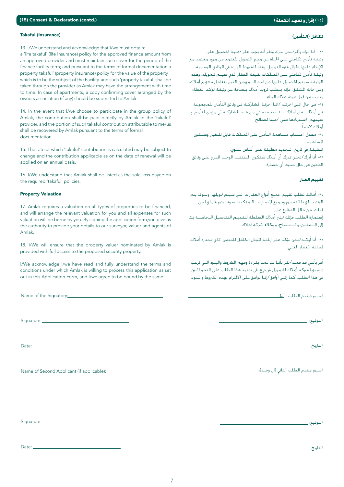#### (١٥) إقرار وتعهد (تكملة)

#### Takaful (Insurance)

13. I/We understand and acknowledge that I/we must obtain:

a 'life takaful' (life Insurance) policy for the approved finance amount from an approved provider and must maintain such cover for the period of the finance facility term; and pursuant to the terms of formal documentation a property takaful' (property insurance) policy for the value of the property which is to be the subject of the Facility, and such 'property takaful' shall be taken through the provider as Amlak may have the arrangement with time to time. In case of apartments, a copy confirming cover arranged by the owners association (if any) should be submitted to Amlak.

14. In the event that I/we choose to participate in the group policy of Amlak, the contribution shall be paid directly by Amlak to the 'takaful' provider, and the portion of such takaful contribution attributable to me/us shall be recovered by Amlak pursuant to the terms of formal documentation.

15. The rate at which 'takaful' contribution is calculated may be subject to change and the contribution applicable as on the date of renewal will be applied on an annual basis.

16. I/We understand that Amlak shall be listed as the sole loss pavee on the required 'takaful' policies.

#### **Property Valuation**

17. Amlak requires a valuation on all types of properties to be financed, and will arrange the relevant valuation for you and all expenses for such valuation will be borne by you. By signing the application form, you give us the authority to provide your details to our surveyor, valuer and agents of Amlak

18. I/We will ensure that the property valuer nominated by Amlak is provided with full access to the proposed security property.

I/We acknowledge I/we have read and fully understand the terms and conditions under which Amlak is willing to process this application as set out in this Application Form, and I/we agree to be bound by the same.

Name of the Signatory:

Signature:

Date:

Name of Second Applicant (if applicable):

Signature:

Date:

تكافل (التأمين)

١٣ – أنا أدرك وأقر/نحن ندرك ونقر أنه يجب على/علينا الحصول على: وثيقة تأمين تكافلي على الحياة عن مبلغ التمويل المعتمد من مزود معتمد مع الإبقاء عليها طوال فترة التمويل؛ وفقاً للشروط الواردة في الوثائق الرسمية. .<br>وثيقة تأمين تكافلي على المتلكات بقيمة العقار الذي سيتم تـمويله، وهذه الوثيقة سيتم الحصول عليها من أحد الـــمزودين الذين تتعامل معهم أملاك. وفي حالة الشقق، فإنه يتطلب تزويد أملاك بنسخة عن وثيقة تؤكد الغطاء بترتيب من قبل هيئة ملاك البناء.

١٤- فـي حال اننـي اخـرتت /اننا اخـرتنا المشـاركـــة فـي وثائق الـتأمـنن للمـجموعـة في أملاك ، فان أملاك ستسدد حصتي من هذه المشاركــة لي مزودي لتأمين و سيتهم اسنيردادها منى /مننا لصالح

أملاك لاحقاً. .<br>١٥- معدل احتساب مساهمة التأمين على المتلكات قابل للتغيير وستكون

المساهمة

المطبقة في تاريخ التجديد مطبقة على أساس سنوي. ١٦- أنا أدركَ/نحــن ندرك أن أملاك سـتكـون المسـتفـيد الـوحيد المدرج علـى وثائق التأمين في حال حدوث أي خسارة.

#### تقييم العبار

١٧- أمالك تطلب تقييم جميع أنواع العقارات التي سيتم تمويلها، وسوف يتم الرنتيب لهذا التقييم وجميع المصاريف الـمتكبدة سوف يتم غملها من قبلك. من خالل التوقيع على

إستمارة الطلب. فإنك تمنح أملاك السلطة لتقديـم التفاصيل الـخاصــة بك إلى الـــمثمن. والـــمــساح. و وكـلاء شركـة أملاك.

١٨- أنا أَوْكَــد/نحن نؤكد على إناحة المجال الكامل للمثمن الذي تختاره أملاك لمعاينة العقار المعنى.

أقر بأننى قد قمت/نقر بأننا قد قمنا بقراءة وفهم الشروط والبنود التى ترغب .<br>بموجبها شركـة أملاك للتمويل ش.م.ع. في تنفيذ هذا الطلب على النحو المبين في هذا الطلب، كما إنني أوافق/إننا نوافق على الالتزام بهذه الشروط والبنود.

استم مقدم الطلب األول:

التوقيع: \_

التاريخ: \_\_

اســم مـقـدم الـطلب الـثاني (إن وجــد):

التوقيع: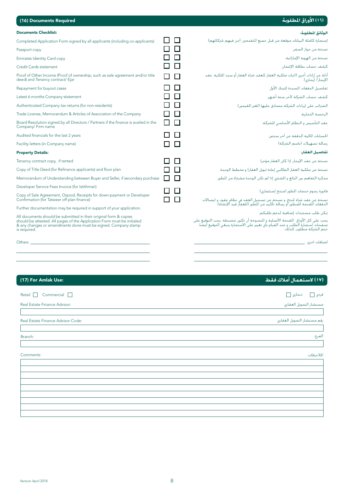### .<br>(١٦) الأوراق المطلوبة

| (16) Documents Required |  |
|-------------------------|--|

| <b>Documents Checklist:</b>                                                                                                                                                                                                    |        |        | الوثائق المطلوبة:                                                                                                                                                                                                           |
|--------------------------------------------------------------------------------------------------------------------------------------------------------------------------------------------------------------------------------|--------|--------|-----------------------------------------------------------------------------------------------------------------------------------------------------------------------------------------------------------------------------|
| Completed Application Form signed by all applicants (including co-applicants)                                                                                                                                                  | $\Box$ | $\Box$ | إستمارة كاملة البيانات موقعة من قبل جميع المتقدمين. (من فيهم شركائهم).                                                                                                                                                      |
| Passport copy                                                                                                                                                                                                                  | □□□    |        | نسخة من جواز السفر.                                                                                                                                                                                                         |
| <b>Emirates Identity Card copy</b>                                                                                                                                                                                             | ПП     |        | نسخة من الهوبة الإماراتية.                                                                                                                                                                                                  |
| Credit Cards statement                                                                                                                                                                                                         | ПП     |        | كشف حساب بطاقة الإئتمان.                                                                                                                                                                                                    |
| Proof of Other Income (Proof of ownership, such as sale agreement and/or title<br>deed) and Tenancy contract/ Ejar                                                                                                             | П      | П      | أدلة عن إرادات أخرى (إثبات ملكية العقار كعقد شراع العقار أو سند اللكية، عقد<br>الإيجار/ إيجاري).                                                                                                                            |
| Repayment for buyout cases                                                                                                                                                                                                     | П      | П      | تفاصيل الدفعات السيددة للبنك الأول.                                                                                                                                                                                         |
| Latest 6 months Company statement                                                                                                                                                                                              | $\Box$ | $\Box$ | كشف حساب الشركة لأخر ستة أشهر.                                                                                                                                                                                              |
| Authenticated Company tax returns (for non-residents)                                                                                                                                                                          | □□     |        | الضرائب على إبرادات الشركـة مصـادق عليـها (لـغير المقيمـين).                                                                                                                                                                |
| Trade License, Memorandum & Articles of Association of the Company                                                                                                                                                             | $\Box$ | $\Box$ | الرخصة التحارية.                                                                                                                                                                                                            |
| Board Resolution signed by all Directors / Partners if the finance is availed in the<br>Company/ Firm name                                                                                                                     | □□     |        | عقد التأسيس و النظام الأساسى للشركة.                                                                                                                                                                                        |
| Audited financials for the last 2 years                                                                                                                                                                                        | П.     | П      | الحسابات المالية المدفقة عن أخر سننتين.                                                                                                                                                                                     |
| Facility letters (in Company name)                                                                                                                                                                                             | ΙI     | $\Box$ | رسالة تسهيلات (باسم الشركـة)                                                                                                                                                                                                |
| <b>Property Details:</b>                                                                                                                                                                                                       |        |        | تفاصيل العقار:                                                                                                                                                                                                              |
| Tenancy contract copy, if rented                                                                                                                                                                                               | LΙ     | $\Box$ | نسخة عن عقد الإيجار، إذا كان العقار مؤجرا.                                                                                                                                                                                  |
| Copy of Title Deed (for Refinance applicants) and floor plan                                                                                                                                                                   | П      | П      | نسخة عن ملكية العقار (لطالبي إعادة مُويل العقار) و مخطط الوحدة.                                                                                                                                                             |
| Memorandum of Understanding between Buyer and Seller, if secondary purchase                                                                                                                                                    | П      | П      | مذكرة التفاهم بين البائع و المشترى إذا لم تكن الوحدة مشتراة من المطور.                                                                                                                                                      |
| Developer Service Fees Invoice (for Istithmari)                                                                                                                                                                                | ПП     |        |                                                                                                                                                                                                                             |
| Copy of Sale Agreement, Oqood, Receipts for down-payment or Developer<br>Confirmation (for Tatweer off plan finance)                                                                                                           | П.     | П      | فاتورة رسوم خدمات المطور (منتج إستثماري).<br>نسخة عن عقد شراء لمنتج. و نسخة عن تسجيل العقد في نظام عقود. و ابصالات<br>الدفعات المقدمة للمطور أو رسالة تأكيد من المطور (للعقار قيد الإنشاء).                                 |
| Further documentation may be required in support of your application.                                                                                                                                                          |        |        |                                                                                                                                                                                                                             |
| All documents should be submitted in their original form & copies<br>should be attested. All pages of the Application Form must be initialed<br>& any changes or amendments done must be signed. Company stamp<br>is required. |        |        | مكن طلب مستندات إضافية لدعم طلبكم.<br>بجب على كل الأوراق المقدمة الأصلية و النسوخة أن تكون مصدقة. بجب التوقيع على<br>صفحات إستمارة الطلب و عند القيام بأي تغيير على الاستمارة بنبغي التوقيع أبضا.<br>ختم الشركة مطلوب كذلك. |
| Others                                                                                                                                                                                                                         |        |        | اضافات اخرى                                                                                                                                                                                                                 |
|                                                                                                                                                                                                                                |        |        |                                                                                                                                                                                                                             |

### .<br>(١٧) لاستعمال أملاك فقط

| رفم مستشار التمويل العفاري |
|----------------------------|
|                            |
| الفرع:                     |
|                            |
| اللاحظات:                  |
|                            |
|                            |
|                            |
|                            |
|                            |
|                            |
|                            |
|                            |

(17) For Amlak Use: